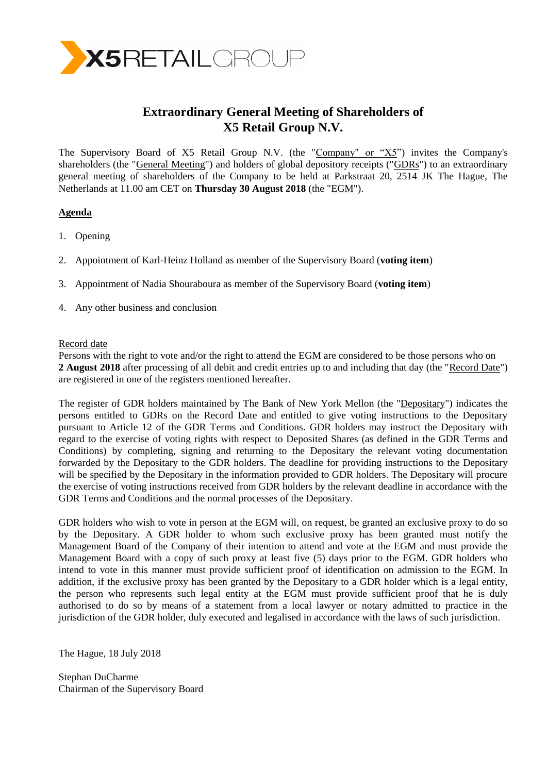

# **Extraordinary General Meeting of Shareholders of X5 Retail Group N.V.**

The Supervisory Board of X5 Retail Group N.V. (the "Company" or "X5") invites the Company's shareholders (the "General Meeting") and holders of global depository receipts ("GDRs") to an extraordinary general meeting of shareholders of the Company to be held at Parkstraat 20, 2514 JK The Hague, The Netherlands at 11.00 am CET on **Thursday 30 August 2018** (the "EGM").

# **Agenda**

- 1. Opening
- 2. Appointment of Karl-Heinz Holland as member of the Supervisory Board (**voting item**)
- 3. Appointment of Nadia Shouraboura as member of the Supervisory Board (**voting item**)
- 4. Any other business and conclusion

#### Record date

Persons with the right to vote and/or the right to attend the EGM are considered to be those persons who on **2 August 2018** after processing of all debit and credit entries up to and including that day (the "Record Date") are registered in one of the registers mentioned hereafter.

The register of GDR holders maintained by The Bank of New York Mellon (the "Depositary") indicates the persons entitled to GDRs on the Record Date and entitled to give voting instructions to the Depositary pursuant to Article 12 of the GDR Terms and Conditions. GDR holders may instruct the Depositary with regard to the exercise of voting rights with respect to Deposited Shares (as defined in the GDR Terms and Conditions) by completing, signing and returning to the Depositary the relevant voting documentation forwarded by the Depositary to the GDR holders. The deadline for providing instructions to the Depositary will be specified by the Depositary in the information provided to GDR holders. The Depositary will procure the exercise of voting instructions received from GDR holders by the relevant deadline in accordance with the GDR Terms and Conditions and the normal processes of the Depositary.

GDR holders who wish to vote in person at the EGM will, on request, be granted an exclusive proxy to do so by the Depositary. A GDR holder to whom such exclusive proxy has been granted must notify the Management Board of the Company of their intention to attend and vote at the EGM and must provide the Management Board with a copy of such proxy at least five (5) days prior to the EGM. GDR holders who intend to vote in this manner must provide sufficient proof of identification on admission to the EGM. In addition, if the exclusive proxy has been granted by the Depositary to a GDR holder which is a legal entity, the person who represents such legal entity at the EGM must provide sufficient proof that he is duly authorised to do so by means of a statement from a local lawyer or notary admitted to practice in the jurisdiction of the GDR holder, duly executed and legalised in accordance with the laws of such jurisdiction.

The Hague, 18 July 2018

Stephan DuCharme Chairman of the Supervisory Board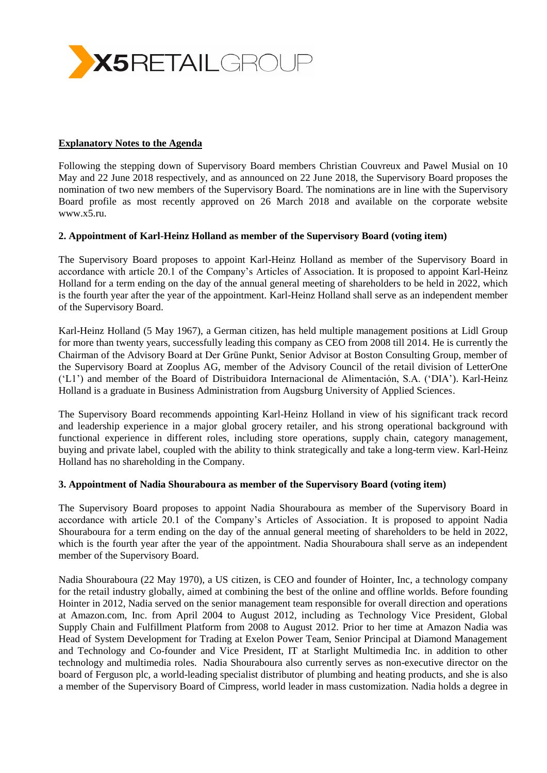

## **Explanatory Notes to the Agenda**

Following the stepping down of Supervisory Board members Christian Couvreux and Pawel Musial on 10 May and 22 June 2018 respectively, and as announced on 22 June 2018, the Supervisory Board proposes the nomination of two new members of the Supervisory Board. The nominations are in line with the Supervisory Board profile as most recently approved on 26 March 2018 and available on the corporate website www.x5.ru.

### **2. Appointment of Karl-Heinz Holland as member of the Supervisory Board (voting item)**

The Supervisory Board proposes to appoint Karl-Heinz Holland as member of the Supervisory Board in accordance with article 20.1 of the Company's Articles of Association. It is proposed to appoint Karl-Heinz Holland for a term ending on the day of the annual general meeting of shareholders to be held in 2022, which is the fourth year after the year of the appointment. Karl-Heinz Holland shall serve as an independent member of the Supervisory Board.

Karl-Heinz Holland (5 May 1967), a German citizen, has held multiple management positions at Lidl Group for more than twenty years, successfully leading this company as CEO from 2008 till 2014. He is currently the Chairman of the Advisory Board at Der Grüne Punkt, Senior Advisor at Boston Consulting Group, member of the Supervisory Board at Zooplus AG, member of the Advisory Council of the retail division of LetterOne ('L1') and member of the Board of Distribuidora Internacional de Alimentación, S.A. ('DIA'). Karl-Heinz Holland is a graduate in Business Administration from Augsburg University of Applied Sciences.

The Supervisory Board recommends appointing Karl-Heinz Holland in view of his significant track record and leadership experience in a major global grocery retailer, and his strong operational background with functional experience in different roles, including store operations, supply chain, category management, buying and private label, coupled with the ability to think strategically and take a long-term view. Karl-Heinz Holland has no shareholding in the Company.

### **3. Appointment of Nadia Shouraboura as member of the Supervisory Board (voting item)**

The Supervisory Board proposes to appoint Nadia Shouraboura as member of the Supervisory Board in accordance with article 20.1 of the Company's Articles of Association. It is proposed to appoint Nadia Shouraboura for a term ending on the day of the annual general meeting of shareholders to be held in 2022, which is the fourth year after the year of the appointment. Nadia Shouraboura shall serve as an independent member of the Supervisory Board.

Nadia Shouraboura (22 May 1970), a US citizen, is CEO and founder of Hointer, Inc, a technology company for the retail industry globally, aimed at combining the best of the online and offline worlds. Before founding Hointer in 2012, Nadia served on the senior management team responsible for overall direction and operations at Amazon.com, Inc. from April 2004 to August 2012, including as Technology Vice President, Global Supply Chain and Fulfillment Platform from 2008 to August 2012. Prior to her time at Amazon Nadia was Head of System Development for Trading at Exelon Power Team, Senior Principal at Diamond Management and Technology and Co-founder and Vice President, IT at Starlight Multimedia Inc. in addition to other technology and multimedia roles. Nadia Shouraboura also currently serves as non-executive director on the board of Ferguson plc, a world-leading specialist distributor of plumbing and heating products, and she is also a member of the Supervisory Board of Cimpress, world leader in mass customization. Nadia holds a degree in